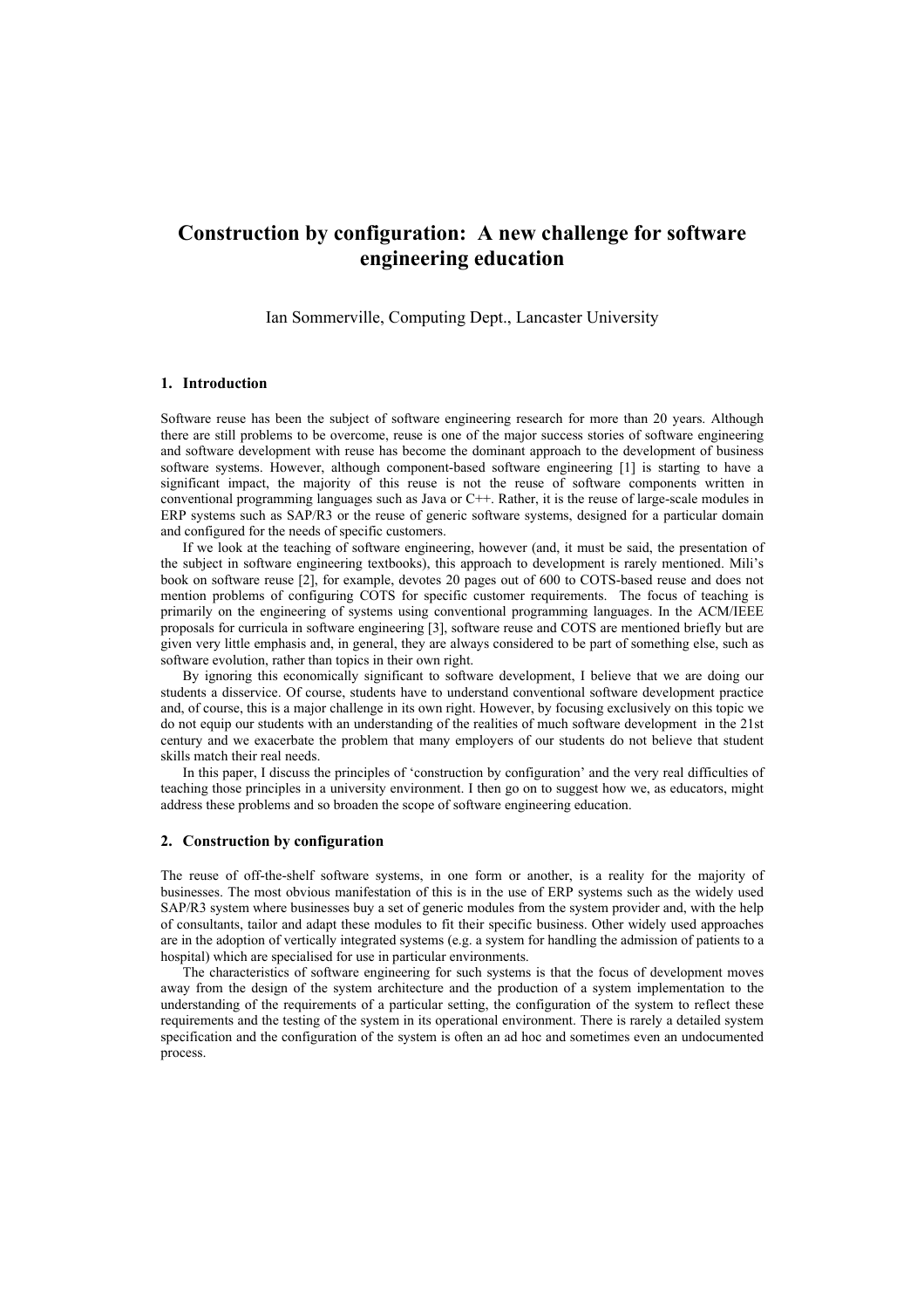# **Construction by configuration: A new challenge for software engineering education**

Ian Sommerville, Computing Dept., Lancaster University

#### **1. Introduction**

Software reuse has been the subject of software engineering research for more than 20 years. Although there are still problems to be overcome, reuse is one of the major success stories of software engineering and software development with reuse has become the dominant approach to the development of business software systems. However, although component-based software engineering [1] is starting to have a significant impact, the majority of this reuse is not the reuse of software components written in conventional programming languages such as Java or C++. Rather, it is the reuse of large-scale modules in ERP systems such as SAP/R3 or the reuse of generic software systems, designed for a particular domain and configured for the needs of specific customers.

If we look at the teaching of software engineering, however (and, it must be said, the presentation of the subject in software engineering textbooks), this approach to development is rarely mentioned. Mili's book on software reuse [2], for example, devotes 20 pages out of 600 to COTS-based reuse and does not mention problems of configuring COTS for specific customer requirements. The focus of teaching is primarily on the engineering of systems using conventional programming languages. In the ACM/IEEE proposals for curricula in software engineering [3], software reuse and COTS are mentioned briefly but are given very little emphasis and, in general, they are always considered to be part of something else, such as software evolution, rather than topics in their own right.

By ignoring this economically significant to software development, I believe that we are doing our students a disservice. Of course, students have to understand conventional software development practice and, of course, this is a major challenge in its own right. However, by focusing exclusively on this topic we do not equip our students with an understanding of the realities of much software development in the 21st century and we exacerbate the problem that many employers of our students do not believe that student skills match their real needs.

In this paper, I discuss the principles of 'construction by configuration' and the very real difficulties of teaching those principles in a university environment. I then go on to suggest how we, as educators, might address these problems and so broaden the scope of software engineering education.

#### **2. Construction by configuration**

The reuse of off-the-shelf software systems, in one form or another, is a reality for the majority of businesses. The most obvious manifestation of this is in the use of ERP systems such as the widely used SAP/R3 system where businesses buy a set of generic modules from the system provider and, with the help of consultants, tailor and adapt these modules to fit their specific business. Other widely used approaches are in the adoption of vertically integrated systems (e.g. a system for handling the admission of patients to a hospital) which are specialised for use in particular environments.

The characteristics of software engineering for such systems is that the focus of development moves away from the design of the system architecture and the production of a system implementation to the understanding of the requirements of a particular setting, the configuration of the system to reflect these requirements and the testing of the system in its operational environment. There is rarely a detailed system specification and the configuration of the system is often an ad hoc and sometimes even an undocumented process.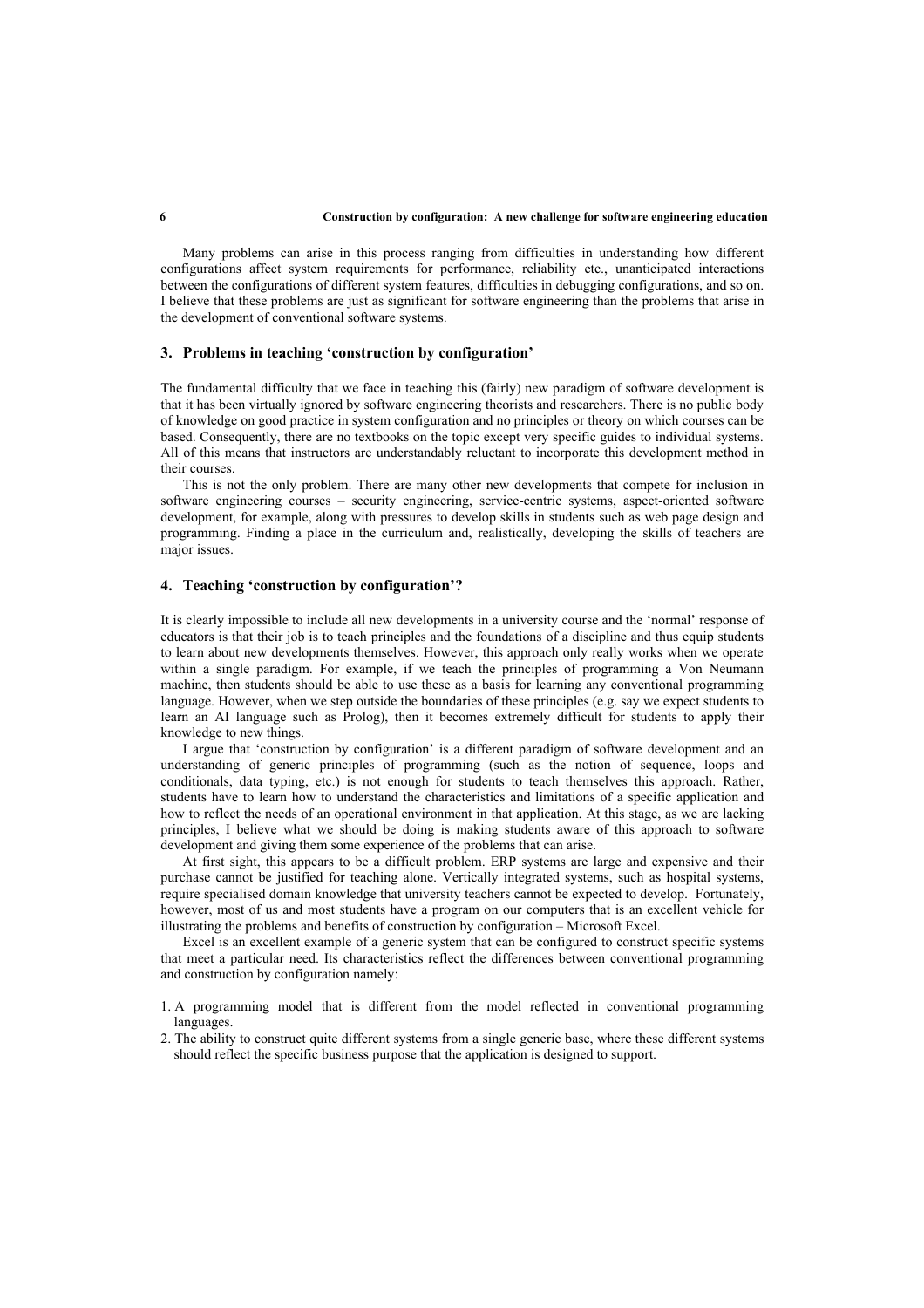#### **6 Construction by configuration: A new challenge for software engineering education**

Many problems can arise in this process ranging from difficulties in understanding how different configurations affect system requirements for performance, reliability etc., unanticipated interactions between the configurations of different system features, difficulties in debugging configurations, and so on. I believe that these problems are just as significant for software engineering than the problems that arise in the development of conventional software systems.

## **3. Problems in teaching 'construction by configuration'**

The fundamental difficulty that we face in teaching this (fairly) new paradigm of software development is that it has been virtually ignored by software engineering theorists and researchers. There is no public body of knowledge on good practice in system configuration and no principles or theory on which courses can be based. Consequently, there are no textbooks on the topic except very specific guides to individual systems. All of this means that instructors are understandably reluctant to incorporate this development method in their courses.

This is not the only problem. There are many other new developments that compete for inclusion in software engineering courses – security engineering, service-centric systems, aspect-oriented software development, for example, along with pressures to develop skills in students such as web page design and programming. Finding a place in the curriculum and, realistically, developing the skills of teachers are major issues.

## **4. Teaching 'construction by configuration'?**

It is clearly impossible to include all new developments in a university course and the 'normal' response of educators is that their job is to teach principles and the foundations of a discipline and thus equip students to learn about new developments themselves. However, this approach only really works when we operate within a single paradigm. For example, if we teach the principles of programming a Von Neumann machine, then students should be able to use these as a basis for learning any conventional programming language. However, when we step outside the boundaries of these principles (e.g. say we expect students to learn an AI language such as Prolog), then it becomes extremely difficult for students to apply their knowledge to new things.

I argue that 'construction by configuration' is a different paradigm of software development and an understanding of generic principles of programming (such as the notion of sequence, loops and conditionals, data typing, etc.) is not enough for students to teach themselves this approach. Rather, students have to learn how to understand the characteristics and limitations of a specific application and how to reflect the needs of an operational environment in that application. At this stage, as we are lacking principles, I believe what we should be doing is making students aware of this approach to software development and giving them some experience of the problems that can arise.

At first sight, this appears to be a difficult problem. ERP systems are large and expensive and their purchase cannot be justified for teaching alone. Vertically integrated systems, such as hospital systems, require specialised domain knowledge that university teachers cannot be expected to develop. Fortunately, however, most of us and most students have a program on our computers that is an excellent vehicle for illustrating the problems and benefits of construction by configuration – Microsoft Excel.

Excel is an excellent example of a generic system that can be configured to construct specific systems that meet a particular need. Its characteristics reflect the differences between conventional programming and construction by configuration namely:

- 1. A programming model that is different from the model reflected in conventional programming languages.
- 2. The ability to construct quite different systems from a single generic base, where these different systems should reflect the specific business purpose that the application is designed to support.